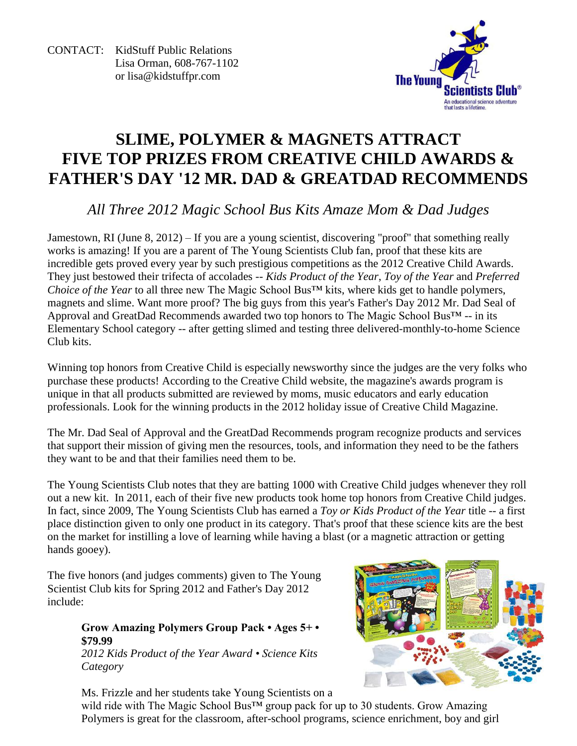CONTACT: KidStuff Public Relations Lisa Orman, 608-767-1102 or [lisa@kidstuffpr.com](mailto:lisa@kidstuffpr.com)



# **SLIME, POLYMER & MAGNETS ATTRACT FIVE TOP PRIZES FROM CREATIVE CHILD AWARDS & FATHER'S DAY '12 MR. DAD & GREATDAD RECOMMENDS**

*All Three 2012 Magic School Bus Kits Amaze Mom & Dad Judges*

Jamestown, RI (June 8, 2012) – If you are a young scientist, discovering "proof" that something really works is amazing! If you are a parent of The Young Scientists Club fan, proof that these kits are incredible gets proved every year by such prestigious competitions as the 2012 Creative Child Awards. They just bestowed their trifecta of accolades -- *Kids Product of the Year*, *Toy of the Year* and *Preferred Choice of the Year* to all three new The Magic School Bus™ kits, where kids get to handle polymers, magnets and slime. Want more proof? The big guys from this year's Father's Day 2012 Mr. Dad Seal of Approval and GreatDad Recommends awarded two top honors to The Magic School Bus™ -- in its Elementary School category -- after getting slimed and testing three delivered-monthly-to-home Science Club kits.

Winning top honors from Creative Child is especially newsworthy since the judges are the very folks who purchase these products! According to the Creative Child website, the magazine's awards program is unique in that all products submitted are reviewed by moms, music educators and early education professionals. Look for the winning products in the 2012 holiday issue of Creative Child Magazine.

The Mr. Dad Seal of Approval and the GreatDad Recommends program recognize products and services that support their mission of giving men the resources, tools, and information they need to be the fathers they want to be and that their families need them to be.

The Young Scientists Club notes that they are batting 1000 with Creative Child judges whenever they roll out a new kit. In 2011, each of their five new products took home top honors from Creative Child judges. In fact, since 2009, The Young Scientists Club has earned a *Toy or Kids Product of the Year* title -- a first place distinction given to only one product in its category. That's proof that these science kits are the best on the market for instilling a love of learning while having a blast (or a magnetic attraction or getting hands gooey).

The five honors (and judges comments) given to The Young Scientist Club kits for Spring 2012 and Father's Day 2012 include:

## **Grow Amazing Polymers Group Pack • Ages 5+ • \$79.99**

*2012 Kids Product of the Year Award • Science Kits Category*



Ms. Frizzle and her students take Young Scientists on a wild ride with The Magic School Bus™ group pack for up to 30 students. Grow Amazing Polymers is great for the classroom, after-school programs, science enrichment, boy and girl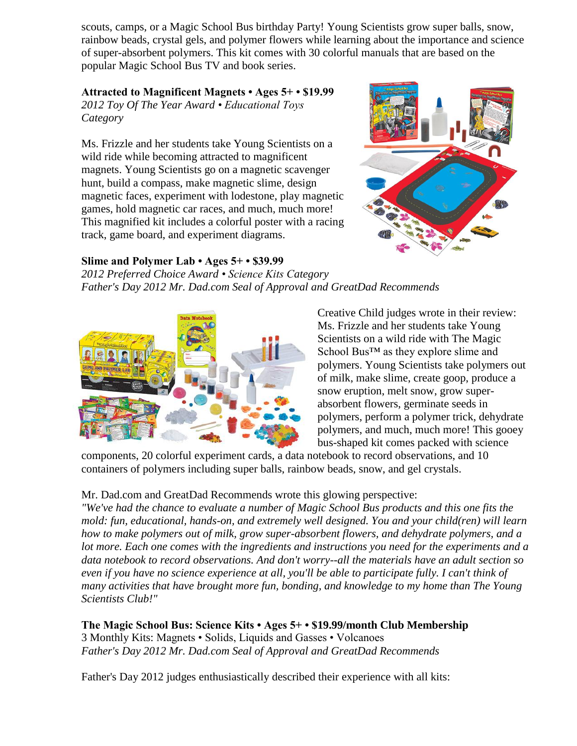scouts, camps, or a Magic School Bus birthday Party! Young Scientists grow super balls, snow, rainbow beads, crystal gels, and polymer flowers while learning about the importance and science of super-absorbent polymers. This kit comes with 30 colorful manuals that are based on the popular Magic School Bus TV and book series.

### **Attracted to Magnificent Magnets • Ages 5+ • \$19.99**

*2012 Toy Of The Year Award • Educational Toys Category*

Ms. Frizzle and her students take Young Scientists on a wild ride while becoming attracted to magnificent magnets. Young Scientists go on a magnetic scavenger hunt, build a compass, make magnetic slime, design magnetic faces, experiment with lodestone, play magnetic games, hold magnetic car races, and much, much more! This magnified kit includes a colorful poster with a racing track, game board, and experiment diagrams.

## **Slime and Polymer Lab • Ages 5+ • \$39.99**

*2012 Preferred Choice Award • Science Kits Category Father's Day 2012 Mr. Dad.com Seal of Approval and GreatDad Recommends*



Creative Child judges wrote in their review: Ms. Frizzle and her students take Young Scientists on a wild ride with The Magic School Bus<sup>™</sup> as they explore slime and polymers. Young Scientists take polymers out of milk, make slime, create goop, produce a snow eruption, melt snow, grow superabsorbent flowers, germinate seeds in polymers, perform a polymer trick, dehydrate polymers, and much, much more! This gooey bus-shaped kit comes packed with science

components, 20 colorful experiment cards, a data notebook to record observations, and 10 containers of polymers including super balls, rainbow beads, snow, and gel crystals.

## Mr. Dad.com and GreatDad Recommends wrote this glowing perspective:

*"We've had the chance to evaluate a number of Magic School Bus products and this one fits the mold: fun, educational, hands-on, and extremely well designed. You and your child(ren) will learn how to make polymers out of milk, grow super-absorbent flowers, and dehydrate polymers, and a lot more. Each one comes with the ingredients and instructions you need for the experiments and a data notebook to record observations. And don't worry--all the materials have an adult section so even if you have no science experience at all, you'll be able to participate fully. I can't think of many activities that have brought more fun, bonding, and knowledge to my home than The Young Scientists Club!"*

**The Magic School Bus: Science Kits • Ages 5+ • \$19.99/month Club Membership** 3 Monthly Kits: Magnets • Solids, Liquids and Gasses • Volcanoes *Father's Day 2012 Mr. Dad.com Seal of Approval and GreatDad Recommends*

Father's Day 2012 judges enthusiastically described their experience with all kits: